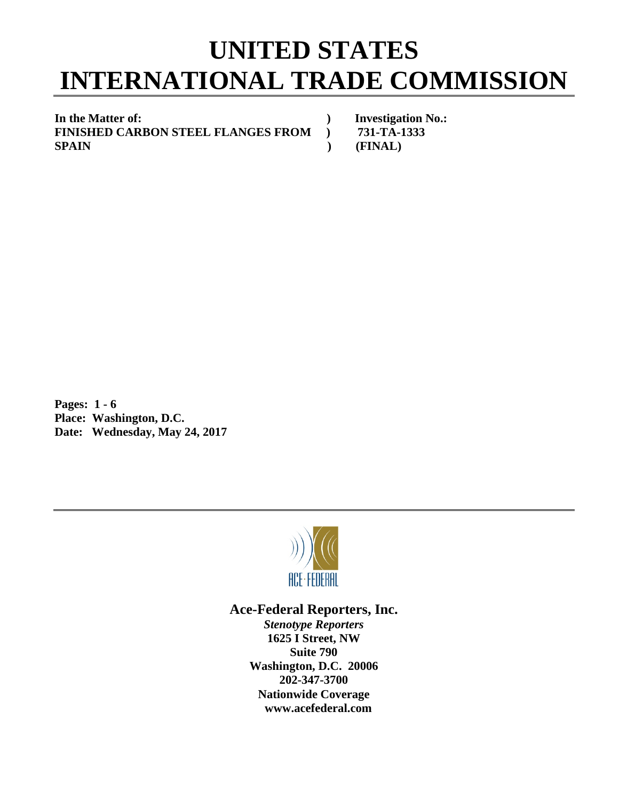## **UNITED STATES INTERNATIONAL TRADE COMMISSION**

**In the Matter of:**  $\qquad \qquad$  **Investigation No.: FINISHED CARBON STEEL FLANGES FROM ) 731-TA-1333** SPAIN (FINAL)

**Pages: 1 - 6 Place: Washington, D.C. Date: Wednesday, May 24, 2017**



## **Ace-Federal Reporters, Inc.**

*Stenotype Reporters* **1625 I Street, NW Suite 790 Washington, D.C. 20006 202-347-3700 Nationwide Coverage www.acefederal.com**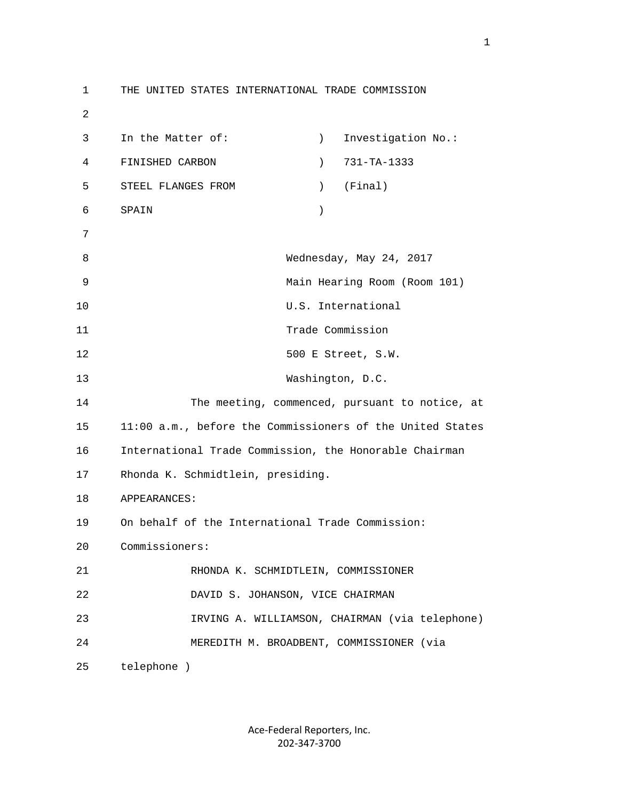1 THE UNITED STATES INTERNATIONAL TRADE COMMISSION 2 3 In the Matter of: ) Investigation No.: 4 FINISHED CARBON ) 731-TA-1333 5 STEEL FLANGES FROM ) (Final) 6 SPAIN ) 7 8 Wednesday, May 24, 2017 9 Main Hearing Room (Room 101) 10 U.S. International 11 Trade Commission 12 500 E Street, S.W. 13 Washington, D.C. 14 The meeting, commenced, pursuant to notice, at 15 11:00 a.m., before the Commissioners of the United States 16 International Trade Commission, the Honorable Chairman 17 Rhonda K. Schmidtlein, presiding. 18 APPEARANCES: 19 On behalf of the International Trade Commission: 20 Commissioners: 21 RHONDA K. SCHMIDTLEIN, COMMISSIONER 22 DAVID S. JOHANSON, VICE CHAIRMAN 23 IRVING A. WILLIAMSON, CHAIRMAN (via telephone) 24 MEREDITH M. BROADBENT, COMMISSIONER (via 25 telephone )

> Ace-Federal Reporters, Inc. 202-347-3700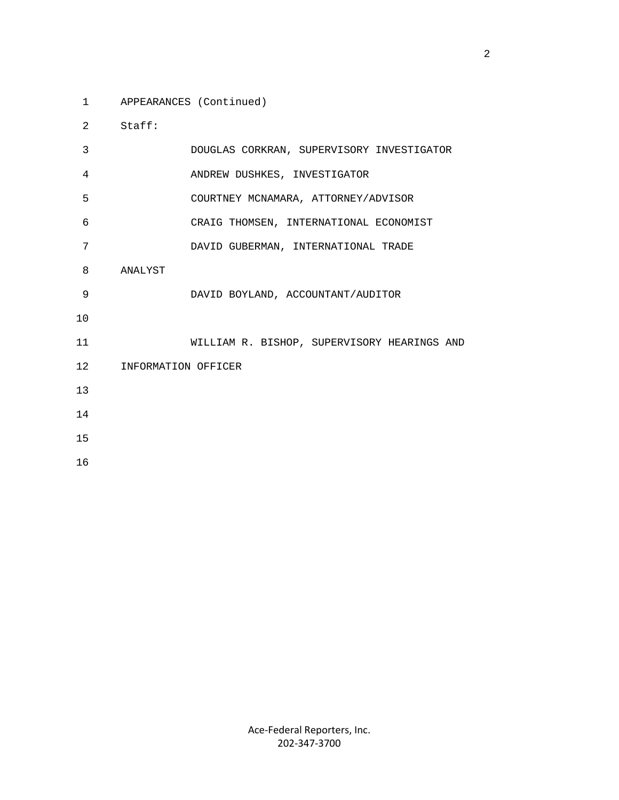1 APPEARANCES (Continued)

2 Staff:

| 3              |                        | DOUGLAS CORKRAN, SUPERVISORY INVESTIGATOR   |
|----------------|------------------------|---------------------------------------------|
| $\overline{4}$ |                        | ANDREW DUSHKES, INVESTIGATOR                |
| 5              |                        | COURTNEY MCNAMARA, ATTORNEY/ADVISOR         |
| 6              |                        | CRAIG THOMSEN, INTERNATIONAL ECONOMIST      |
| 7              |                        | DAVID GUBERMAN, INTERNATIONAL TRADE         |
| 8              | ANALYST                |                                             |
| 9              |                        | DAVID BOYLAND, ACCOUNTANT/AUDITOR           |
| 10             |                        |                                             |
| 11             |                        | WILLIAM R. BISHOP, SUPERVISORY HEARINGS AND |
|                | 12 INFORMATION OFFICER |                                             |
| 13             |                        |                                             |
| 14             |                        |                                             |
| 15             |                        |                                             |
| 16             |                        |                                             |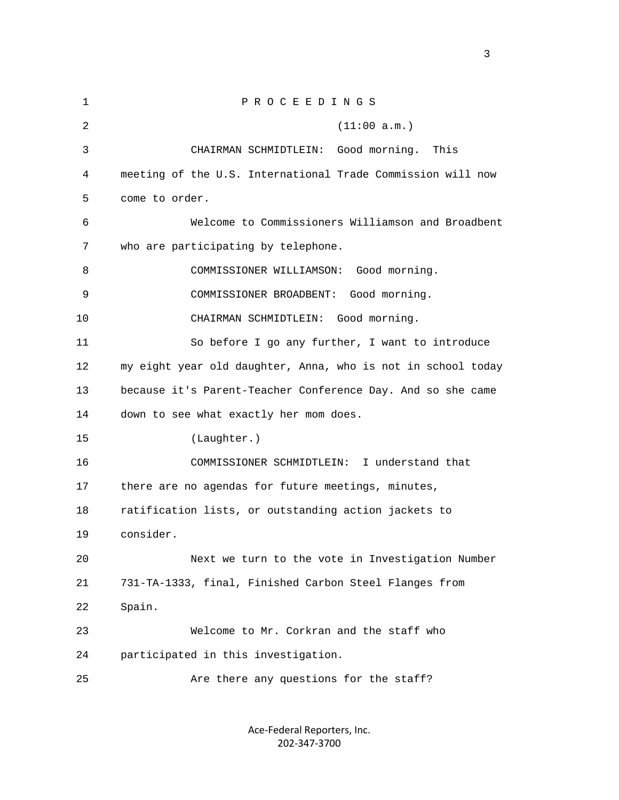| 1  | PROCEEDINGS                                                  |
|----|--------------------------------------------------------------|
| 2  | (11:00 a.m.)                                                 |
| 3  | This<br>CHAIRMAN SCHMIDTLEIN: Good morning.                  |
| 4  | meeting of the U.S. International Trade Commission will now  |
| 5  | come to order.                                               |
| 6  | Welcome to Commissioners Williamson and Broadbent            |
| 7  | who are participating by telephone.                          |
| 8  | Good morning.<br>COMMISSIONER WILLIAMSON:                    |
| 9  | Good morning.<br>COMMISSIONER BROADBENT:                     |
| 10 | CHAIRMAN SCHMIDTLEIN: Good morning.                          |
| 11 | So before I go any further, I want to introduce              |
| 12 | my eight year old daughter, Anna, who is not in school today |
| 13 | because it's Parent-Teacher Conference Day. And so she came  |
| 14 | down to see what exactly her mom does.                       |
| 15 | (Laughter.)                                                  |
| 16 | COMMISSIONER SCHMIDTLEIN: I understand that                  |
| 17 | there are no agendas for future meetings, minutes,           |
| 18 | ratification lists, or outstanding action jackets to         |
| 19 | consider.                                                    |
| 20 | Next we turn to the vote in Investigation Number             |
| 21 | 731-TA-1333, final, Finished Carbon Steel Flanges from       |
| 22 | Spain.                                                       |
| 23 | Welcome to Mr. Corkran and the staff who                     |
| 24 | participated in this investigation.                          |
| 25 | Are there any questions for the staff?                       |

Ace-Federal Reporters, Inc. 202-347-3700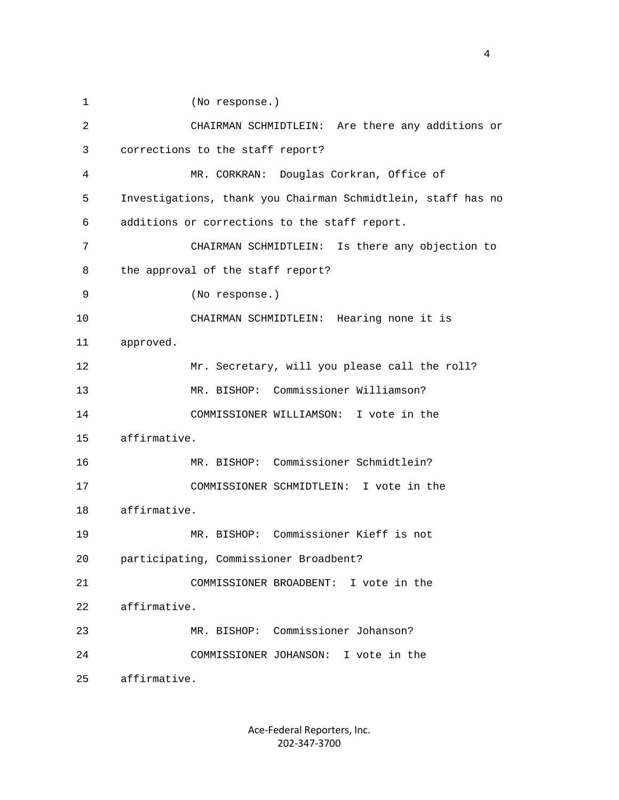1 (No response.) 2 CHAIRMAN SCHMIDTLEIN: Are there any additions or 3 corrections to the staff report? 4 MR. CORKRAN: Douglas Corkran, Office of 5 Investigations, thank you Chairman Schmidtlein, staff has no 6 additions or corrections to the staff report. 7 CHAIRMAN SCHMIDTLEIN: Is there any objection to 8 the approval of the staff report? 9 (No response.) 10 CHAIRMAN SCHMIDTLEIN: Hearing none it is 11 approved. 12 Mr. Secretary, will you please call the roll? 13 MR. BISHOP: Commissioner Williamson? 14 COMMISSIONER WILLIAMSON: I vote in the 15 affirmative. 16 MR. BISHOP: Commissioner Schmidtlein? 17 COMMISSIONER SCHMIDTLEIN: I vote in the 18 affirmative. 19 MR. BISHOP: Commissioner Kieff is not 20 participating, Commissioner Broadbent? 21 COMMISSIONER BROADBENT: I vote in the 22 affirmative. 23 MR. BISHOP: Commissioner Johanson? 24 COMMISSIONER JOHANSON: I vote in the 25 affirmative.

> Ace-Federal Reporters, Inc. 202-347-3700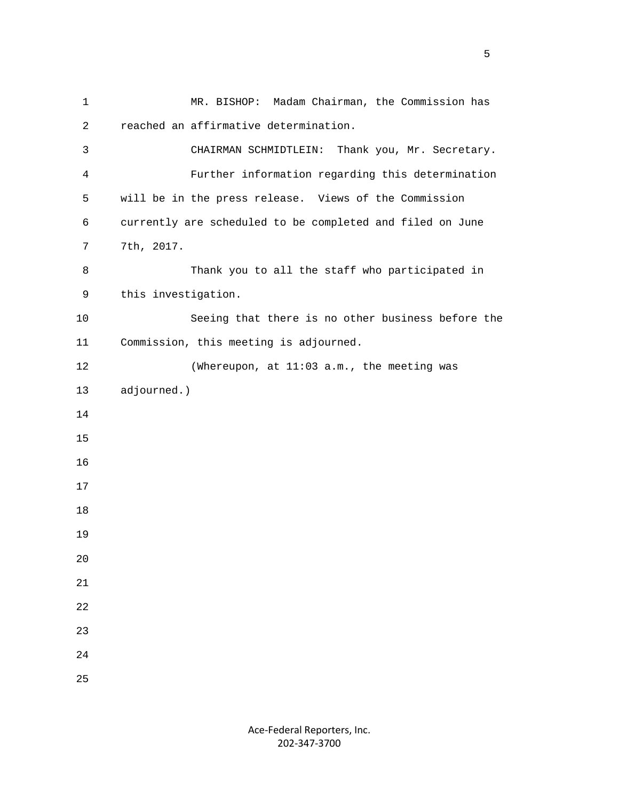1 MR. BISHOP: Madam Chairman, the Commission has 2 reached an affirmative determination. 3 CHAIRMAN SCHMIDTLEIN: Thank you, Mr. Secretary. 4 Further information regarding this determination 5 will be in the press release. Views of the Commission 6 currently are scheduled to be completed and filed on June 7 7th, 2017. 8 Thank you to all the staff who participated in 9 this investigation. 10 Seeing that there is no other business before the 11 Commission, this meeting is adjourned. 12 (Whereupon, at 11:03 a.m., the meeting was 13 adjourned.) 14 15 16 17 18 19 20 21 22 23 24 25